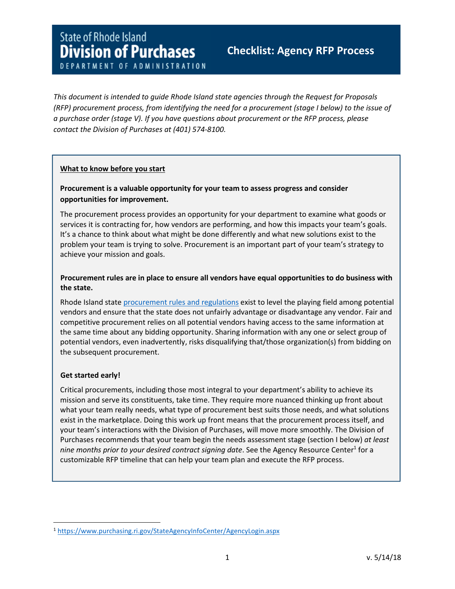# **State of Rhode Island Division of Purchases**

# Checklist: Agency RFP Process

DEPARTMENT OF ADMINISTRATION

This document is intended to guide Rhode Island state agencies through the Request for Proposals (RFP) procurement process, from identifying the need for a procurement (stage I below) to the issue of a purchase order (stage V). If you have questions about procurement or the RFP process, please contact the Division of Purchases at (401) 574-8100.

# What to know before you start

# Procurement is a valuable opportunity for your team to assess progress and consider opportunities for improvement.

The procurement process provides an opportunity for your department to examine what goods or services it is contracting for, how vendors are performing, and how this impacts your team's goals. It's a chance to think about what might be done differently and what new solutions exist to the problem your team is trying to solve. Procurement is an important part of your team's strategy to achieve your mission and goals.

# Procurement rules are in place to ensure all vendors have equal opportunities to do business with the state.

Rhode Island state procurement rules and regulations exist to level the playing field among potential vendors and ensure that the state does not unfairly advantage or disadvantage any vendor. Fair and competitive procurement relies on all potential vendors having access to the same information at the same time about any bidding opportunity. Sharing information with any one or select group of potential vendors, even inadvertently, risks disqualifying that/those organization(s) from bidding on the subsequent procurement.

# Get started early!

l

Critical procurements, including those most integral to your department's ability to achieve its mission and serve its constituents, take time. They require more nuanced thinking up front about what your team really needs, what type of procurement best suits those needs, and what solutions exist in the marketplace. Doing this work up front means that the procurement process itself, and your team's interactions with the Division of Purchases, will move more smoothly. The Division of Purchases recommends that your team begin the needs assessment stage (section I below) at least nine months prior to your desired contract signing date. See the Agency Resource Center<sup>1</sup> for a customizable RFP timeline that can help your team plan and execute the RFP process.

<sup>1</sup> https://www.purchasing.ri.gov/StateAgencyInfoCenter/AgencyLogin.aspx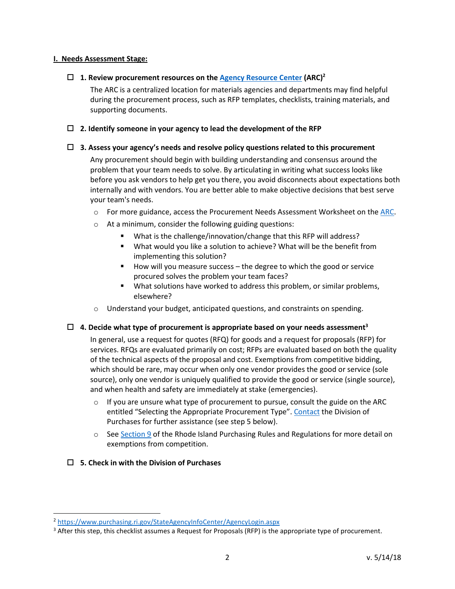# I. Needs Assessment Stage:

# $\Box$  1. Review procurement resources on the Agency Resource Center (ARC)<sup>2</sup>

The ARC is a centralized location for materials agencies and departments may find helpful during the procurement process, such as RFP templates, checklists, training materials, and supporting documents.

# $\Box$  2. Identify someone in your agency to lead the development of the RFP

#### $\Box$  3. Assess your agency's needs and resolve policy questions related to this procurement

Any procurement should begin with building understanding and consensus around the problem that your team needs to solve. By articulating in writing what success looks like before you ask vendors to help get you there, you avoid disconnects about expectations both internally and with vendors. You are better able to make objective decisions that best serve your team's needs.

- $\circ$  For more guidance, access the Procurement Needs Assessment Worksheet on the ARC.
- o At a minimum, consider the following guiding questions:
	- -What is the challenge/innovation/change that this RFP will address?
	- **•** What would you like a solution to achieve? What will be the benefit from implementing this solution?
	- - How will you measure success – the degree to which the good or service procured solves the problem your team faces?
	- **•** What solutions have worked to address this problem, or similar problems, elsewhere?
- $\circ$  Understand your budget, anticipated questions, and constraints on spending.

# $\Box$  4. Decide what type of procurement is appropriate based on your needs assessment<sup>3</sup>

In general, use a request for quotes (RFQ) for goods and a request for proposals (RFP) for services. RFQs are evaluated primarily on cost; RFPs are evaluated based on both the quality of the technical aspects of the proposal and cost. Exemptions from competitive bidding, which should be rare, may occur when only one vendor provides the good or service (sole source), only one vendor is uniquely qualified to provide the good or service (single source), and when health and safety are immediately at stake (emergencies).

- $\circ$  If you are unsure what type of procurement to pursue, consult the guide on the ARC entitled "Selecting the Appropriate Procurement Type". Contact the Division of Purchases for further assistance (see step 5 below).
- $\circ$  See Section 9 of the Rhode Island Purchasing Rules and Regulations for more detail on exemptions from competition.

# $\Box$  5. Check in with the Division of Purchases

<sup>2</sup> https://www.purchasing.ri.gov/StateAgencyInfoCenter/AgencyLogin.aspx

<sup>&</sup>lt;sup>3</sup> After this step, this checklist assumes a Request for Proposals (RFP) is the appropriate type of procurement.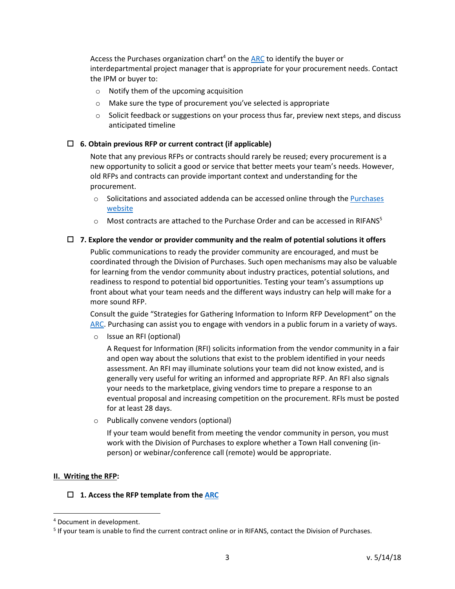Access the Purchases organization chart<sup>4</sup> on the ARC to identify the buyer or interdepartmental project manager that is appropriate for your procurement needs. Contact the IPM or buyer to:

- o Notify them of the upcoming acquisition
- o Make sure the type of procurement you've selected is appropriate
- $\circ$  Solicit feedback or suggestions on your process thus far, preview next steps, and discuss anticipated timeline

#### $\Box$  6. Obtain previous RFP or current contract (if applicable)

Note that any previous RFPs or contracts should rarely be reused; every procurement is a new opportunity to solicit a good or service that better meets your team's needs. However, old RFPs and contracts can provide important context and understanding for the procurement.

- $\circ$  Solicitations and associated addenda can be accessed online through the Purchases website
- $\circ$  Most contracts are attached to the Purchase Order and can be accessed in RIFANS<sup>5</sup>

#### $\Box$  7. Explore the vendor or provider community and the realm of potential solutions it offers

Public communications to ready the provider community are encouraged, and must be coordinated through the Division of Purchases. Such open mechanisms may also be valuable for learning from the vendor community about industry practices, potential solutions, and readiness to respond to potential bid opportunities. Testing your team's assumptions up front about what your team needs and the different ways industry can help will make for a more sound RFP.

Consult the guide "Strategies for Gathering Information to Inform RFP Development" on the ARC. Purchasing can assist you to engage with vendors in a public forum in a variety of ways.

o Issue an RFI (optional)

A Request for Information (RFI) solicits information from the vendor community in a fair and open way about the solutions that exist to the problem identified in your needs assessment. An RFI may illuminate solutions your team did not know existed, and is generally very useful for writing an informed and appropriate RFP. An RFI also signals your needs to the marketplace, giving vendors time to prepare a response to an eventual proposal and increasing competition on the procurement. RFIs must be posted for at least 28 days.

o Publically convene vendors (optional)

If your team would benefit from meeting the vendor community in person, you must work with the Division of Purchases to explore whether a Town Hall convening (inperson) or webinar/conference call (remote) would be appropriate.

#### II. Writing the RFP:

#### $\Box$  1. Access the RFP template from the ARC

<sup>4</sup> Document in development.

<sup>&</sup>lt;sup>5</sup> If your team is unable to find the current contract online or in RIFANS, contact the Division of Purchases.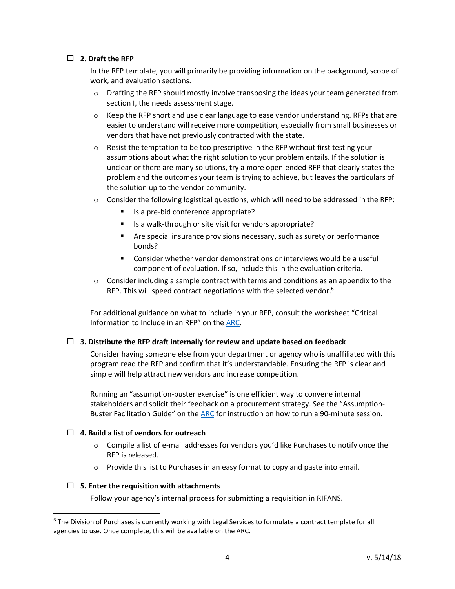# $\Box$  2. Draft the RFP

In the RFP template, you will primarily be providing information on the background, scope of work, and evaluation sections.

- o Drafting the RFP should mostly involve transposing the ideas your team generated from section I, the needs assessment stage.
- $\circ$  Keep the RFP short and use clear language to ease vendor understanding. RFPs that are easier to understand will receive more competition, especially from small businesses or vendors that have not previously contracted with the state.
- $\circ$  Resist the temptation to be too prescriptive in the RFP without first testing your assumptions about what the right solution to your problem entails. If the solution is unclear or there are many solutions, try a more open-ended RFP that clearly states the problem and the outcomes your team is trying to achieve, but leaves the particulars of the solution up to the vendor community.
- o Consider the following logistical questions, which will need to be addressed in the RFP:
	- -Is a pre-bid conference appropriate?
	- -Is a walk-through or site visit for vendors appropriate?
	- **EXP** Are special insurance provisions necessary, such as surety or performance bonds?
	- **E** Consider whether vendor demonstrations or interviews would be a useful component of evaluation. If so, include this in the evaluation criteria.
- $\circ$  Consider including a sample contract with terms and conditions as an appendix to the RFP. This will speed contract negotiations with the selected vendor.<sup>6</sup>

For additional guidance on what to include in your RFP, consult the worksheet "Critical Information to Include in an RFP" on the ARC.

#### $\Box$  3. Distribute the RFP draft internally for review and update based on feedback

Consider having someone else from your department or agency who is unaffiliated with this program read the RFP and confirm that it's understandable. Ensuring the RFP is clear and simple will help attract new vendors and increase competition.

Running an "assumption-buster exercise" is one efficient way to convene internal stakeholders and solicit their feedback on a procurement strategy. See the "Assumption-Buster Facilitation Guide" on the ARC for instruction on how to run a 90-minute session.

#### $\Box$  4. Build a list of vendors for outreach

- $\circ$  Compile a list of e-mail addresses for vendors you'd like Purchases to notify once the RFP is released.
- $\circ$  Provide this list to Purchases in an easy format to copy and paste into email.

#### $\Box$  5. Enter the requisition with attachments

 $\overline{\phantom{0}}$ 

Follow your agency's internal process for submitting a requisition in RIFANS.

<sup>&</sup>lt;sup>6</sup> The Division of Purchases is currently working with Legal Services to formulate a contract template for all agencies to use. Once complete, this will be available on the ARC.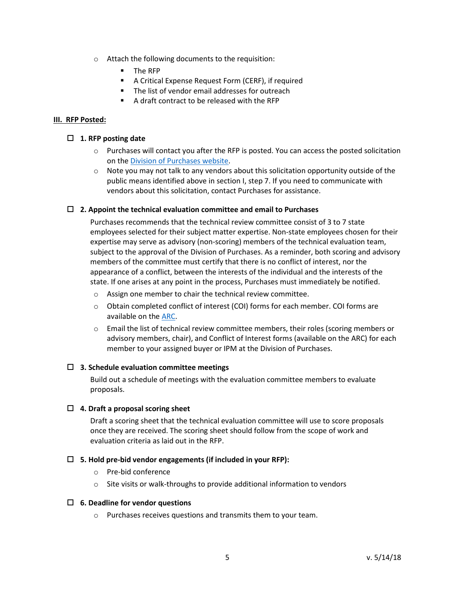- o Attach the following documents to the requisition:
	- The RFP
	- **-** A Critical Expense Request Form (CERF), if required
	- -The list of vendor email addresses for outreach
	- -A draft contract to be released with the RFP

# III. RFP Posted:

# $\Box$  1. RFP posting date

- $\circ$  Purchases will contact you after the RFP is posted. You can access the posted solicitation on the Division of Purchases website.
- $\circ$  Note you may not talk to any vendors about this solicitation opportunity outside of the public means identified above in section I, step 7. If you need to communicate with vendors about this solicitation, contact Purchases for assistance.

# $\Box$  2. Appoint the technical evaluation committee and email to Purchases

Purchases recommends that the technical review committee consist of 3 to 7 state employees selected for their subject matter expertise. Non-state employees chosen for their expertise may serve as advisory (non-scoring) members of the technical evaluation team, subject to the approval of the Division of Purchases. As a reminder, both scoring and advisory members of the committee must certify that there is no conflict of interest, nor the appearance of a conflict, between the interests of the individual and the interests of the state. If one arises at any point in the process, Purchases must immediately be notified.

- o Assign one member to chair the technical review committee.
- o Obtain completed conflict of interest (COI) forms for each member. COI forms are available on the ARC.
- o Email the list of technical review committee members, their roles (scoring members or advisory members, chair), and Conflict of Interest forms (available on the ARC) for each member to your assigned buyer or IPM at the Division of Purchases.

# $\Box$  3. Schedule evaluation committee meetings

Build out a schedule of meetings with the evaluation committee members to evaluate proposals.

# $\Box$  4. Draft a proposal scoring sheet

Draft a scoring sheet that the technical evaluation committee will use to score proposals once they are received. The scoring sheet should follow from the scope of work and evaluation criteria as laid out in the RFP.

# $\Box$  5. Hold pre-bid vendor engagements (if included in your RFP):

- o Pre-bid conference
- o Site visits or walk-throughs to provide additional information to vendors

#### $\Box$  6. Deadline for vendor questions

o Purchases receives questions and transmits them to your team.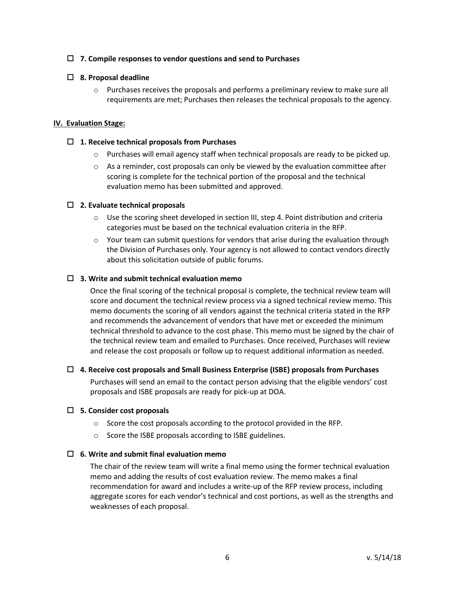# $\Box$  7. Compile responses to vendor questions and send to Purchases

# $\Box$  8. Proposal deadline

 $\circ$  Purchases receives the proposals and performs a preliminary review to make sure all requirements are met; Purchases then releases the technical proposals to the agency.

#### IV. Evaluation Stage:

#### $\Box$  1. Receive technical proposals from Purchases

- $\circ$  Purchases will email agency staff when technical proposals are ready to be picked up.
- $\circ$  As a reminder, cost proposals can only be viewed by the evaluation committee after scoring is complete for the technical portion of the proposal and the technical evaluation memo has been submitted and approved.

#### $\Box$  2. Evaluate technical proposals

- $\circ$  Use the scoring sheet developed in section III, step 4. Point distribution and criteria categories must be based on the technical evaluation criteria in the RFP.
- $\circ$  Your team can submit questions for vendors that arise during the evaluation through the Division of Purchases only. Your agency is not allowed to contact vendors directly about this solicitation outside of public forums.

#### $\Box$  3. Write and submit technical evaluation memo

Once the final scoring of the technical proposal is complete, the technical review team will score and document the technical review process via a signed technical review memo. This memo documents the scoring of all vendors against the technical criteria stated in the RFP and recommends the advancement of vendors that have met or exceeded the minimum technical threshold to advance to the cost phase. This memo must be signed by the chair of the technical review team and emailed to Purchases. Once received, Purchases will review and release the cost proposals or follow up to request additional information as needed.

#### $\Box$  4. Receive cost proposals and Small Business Enterprise (ISBE) proposals from Purchases

Purchases will send an email to the contact person advising that the eligible vendors' cost proposals and ISBE proposals are ready for pick-up at DOA.

#### $\square$  5. Consider cost proposals

- o Score the cost proposals according to the protocol provided in the RFP.
- o Score the ISBE proposals according to ISBE guidelines.

#### $\Box$  6. Write and submit final evaluation memo

The chair of the review team will write a final memo using the former technical evaluation memo and adding the results of cost evaluation review. The memo makes a final recommendation for award and includes a write-up of the RFP review process, including aggregate scores for each vendor's technical and cost portions, as well as the strengths and weaknesses of each proposal.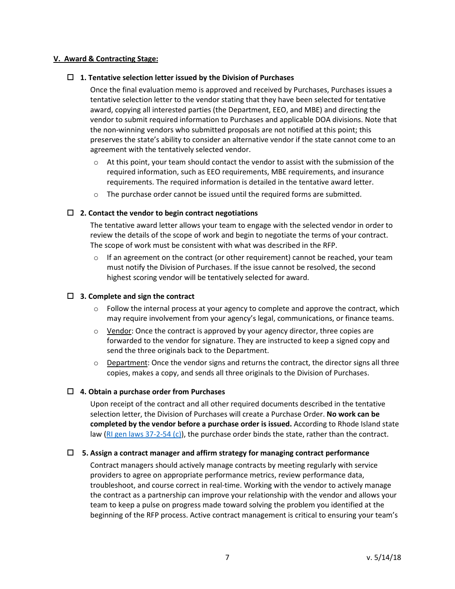# V. Award & Contracting Stage:

# $\Box$  1. Tentative selection letter issued by the Division of Purchases

Once the final evaluation memo is approved and received by Purchases, Purchases issues a tentative selection letter to the vendor stating that they have been selected for tentative award, copying all interested parties (the Department, EEO, and MBE) and directing the vendor to submit required information to Purchases and applicable DOA divisions. Note that the non-winning vendors who submitted proposals are not notified at this point; this preserves the state's ability to consider an alternative vendor if the state cannot come to an agreement with the tentatively selected vendor.

- $\circ$  At this point, your team should contact the vendor to assist with the submission of the required information, such as EEO requirements, MBE requirements, and insurance requirements. The required information is detailed in the tentative award letter.
- $\circ$  The purchase order cannot be issued until the required forms are submitted.

#### $\Box$  2. Contact the vendor to begin contract negotiations

The tentative award letter allows your team to engage with the selected vendor in order to review the details of the scope of work and begin to negotiate the terms of your contract. The scope of work must be consistent with what was described in the RFP.

 $\circ$  If an agreement on the contract (or other requirement) cannot be reached, your team must notify the Division of Purchases. If the issue cannot be resolved, the second highest scoring vendor will be tentatively selected for award.

# $\Box$  3. Complete and sign the contract

- $\circ$  Follow the internal process at your agency to complete and approve the contract, which may require involvement from your agency's legal, communications, or finance teams.
- $\circ$  Vendor: Once the contract is approved by your agency director, three copies are forwarded to the vendor for signature. They are instructed to keep a signed copy and send the three originals back to the Department.
- $\circ$  Department: Once the vendor signs and returns the contract, the director signs all three copies, makes a copy, and sends all three originals to the Division of Purchases.

#### $\Box$  4. Obtain a purchase order from Purchases

Upon receipt of the contract and all other required documents described in the tentative selection letter, the Division of Purchases will create a Purchase Order. No work can be completed by the vendor before a purchase order is issued. According to Rhode Island state law (RI gen laws 37-2-54 (c)), the purchase order binds the state, rather than the contract.

#### $\Box$  5. Assign a contract manager and affirm strategy for managing contract performance

Contract managers should actively manage contracts by meeting regularly with service providers to agree on appropriate performance metrics, review performance data, troubleshoot, and course correct in real-time. Working with the vendor to actively manage the contract as a partnership can improve your relationship with the vendor and allows your team to keep a pulse on progress made toward solving the problem you identified at the beginning of the RFP process. Active contract management is critical to ensuring your team's